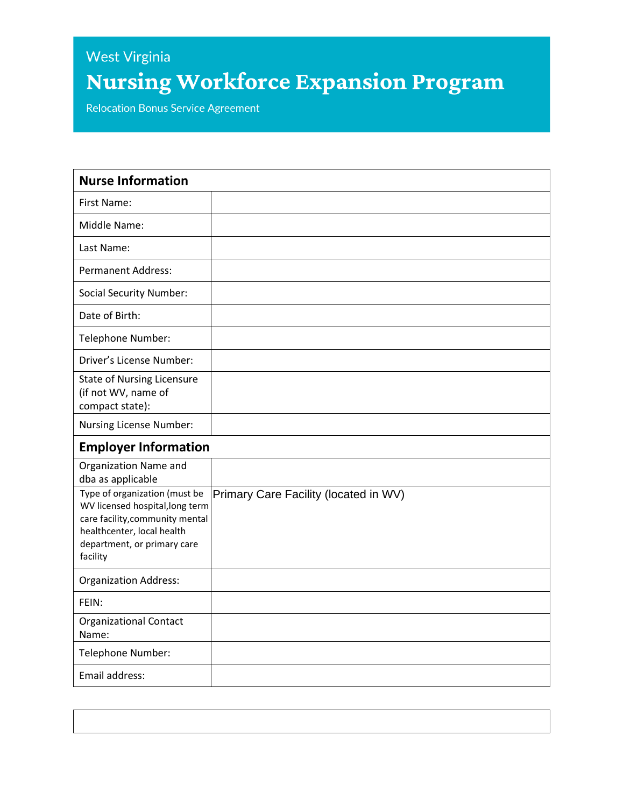## West Virginia **Nursing Workforce Expansion Program**

**Relocation Bonus Service Agreement** 

| <b>Nurse Information</b>                                                                                                                                                     |                                       |
|------------------------------------------------------------------------------------------------------------------------------------------------------------------------------|---------------------------------------|
| First Name:                                                                                                                                                                  |                                       |
| Middle Name:                                                                                                                                                                 |                                       |
| Last Name:                                                                                                                                                                   |                                       |
| <b>Permanent Address:</b>                                                                                                                                                    |                                       |
| <b>Social Security Number:</b>                                                                                                                                               |                                       |
| Date of Birth:                                                                                                                                                               |                                       |
| Telephone Number:                                                                                                                                                            |                                       |
| Driver's License Number:                                                                                                                                                     |                                       |
| <b>State of Nursing Licensure</b><br>(if not WV, name of<br>compact state):                                                                                                  |                                       |
| Nursing License Number:                                                                                                                                                      |                                       |
| <b>Employer Information</b>                                                                                                                                                  |                                       |
| Organization Name and<br>dba as applicable                                                                                                                                   |                                       |
| Type of organization (must be<br>WV licensed hospital, long term<br>care facility, community mental<br>healthcenter, local health<br>department, or primary care<br>facility | Primary Care Facility (located in WV) |
| <b>Organization Address:</b>                                                                                                                                                 |                                       |
| FEIN:                                                                                                                                                                        |                                       |
| <b>Organizational Contact</b><br>Name:                                                                                                                                       |                                       |
| Telephone Number:                                                                                                                                                            |                                       |
| Email address:                                                                                                                                                               |                                       |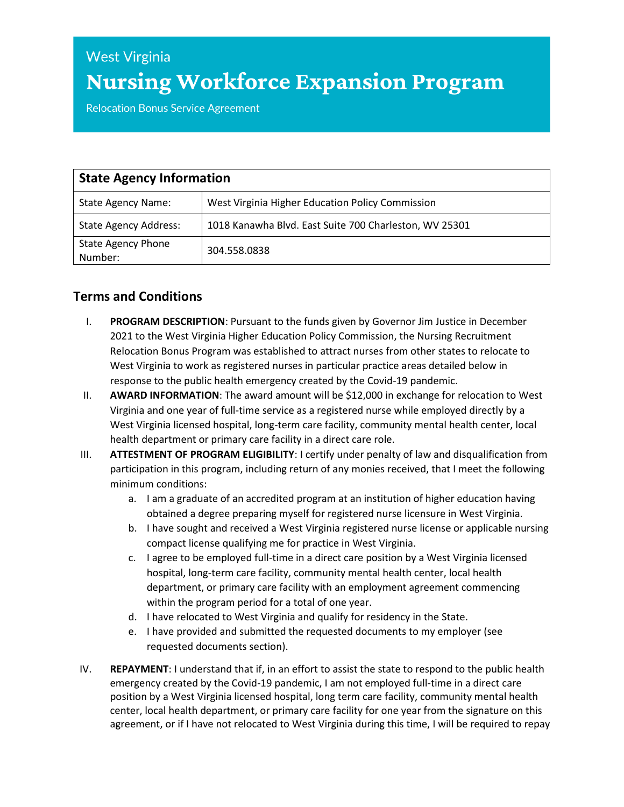## **West Virginia Nursing Workforce Expansion Program**

**Relocation Bonus Service Agreement** 

| <b>State Agency Information</b>      |                                                        |
|--------------------------------------|--------------------------------------------------------|
| <b>State Agency Name:</b>            | West Virginia Higher Education Policy Commission       |
| <b>State Agency Address:</b>         | 1018 Kanawha Blvd. East Suite 700 Charleston, WV 25301 |
| <b>State Agency Phone</b><br>Number: | 304.558.0838                                           |

## **Terms and Conditions**

- I. **PROGRAM DESCRIPTION**: Pursuant to the funds given by Governor Jim Justice in December 2021 to the West Virginia Higher Education Policy Commission, the Nursing Recruitment Relocation Bonus Program was established to attract nurses from other states to relocate to West Virginia to work as registered nurses in particular practice areas detailed below in response to the public health emergency created by the Covid-19 pandemic.
- II. **AWARD INFORMATION**: The award amount will be \$12,000 in exchange for relocation to West Virginia and one year of full-time service as a registered nurse while employed directly by a West Virginia licensed hospital, long-term care facility, community mental health center, local health department or primary care facility in a direct care role.
- III. **ATTESTMENT OF PROGRAM ELIGIBILITY**: I certify under penalty of law and disqualification from participation in this program, including return of any monies received, that I meet the following minimum conditions:
	- a. I am a graduate of an accredited program at an institution of higher education having obtained a degree preparing myself for registered nurse licensure in West Virginia.
	- b. I have sought and received a West Virginia registered nurse license or applicable nursing compact license qualifying me for practice in West Virginia.
	- c. I agree to be employed full-time in a direct care position by a West Virginia licensed hospital, long-term care facility, community mental health center, local health department, or primary care facility with an employment agreement commencing within the program period for a total of one year.
	- d. I have relocated to West Virginia and qualify for residency in the State.
	- e. I have provided and submitted the requested documents to my employer (see requested documents section).
- IV. **REPAYMENT**: I understand that if, in an effort to assist the state to respond to the public health emergency created by the Covid-19 pandemic, I am not employed full-time in a direct care position by a West Virginia licensed hospital, long term care facility, community mental health center, local health department, or primary care facility for one year from the signature on this agreement, or if I have not relocated to West Virginia during this time, I will be required to repay